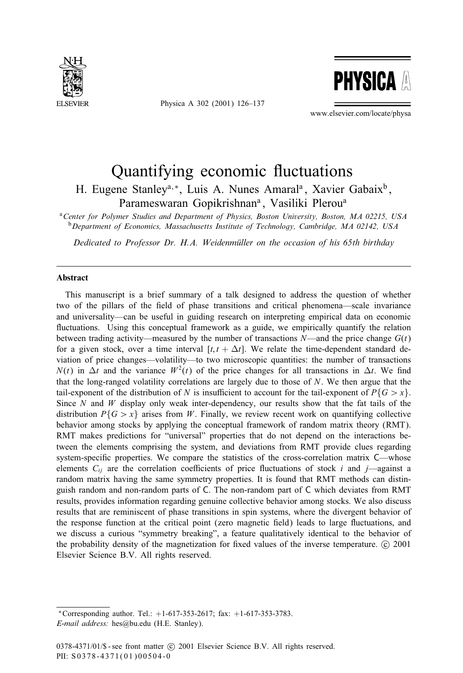

Physica A 302 (2001) 126–137



www.elsevier.com/locate/physa

## Quantifying economic fluctuations

H. Eugene Stanley<sup>a,\*</sup>, Luis A. Nunes Amaral<sup>a</sup>, Xavier Gabaix<sup>b</sup>, Parameswaran Gopikrishnan<sup>a</sup>, Vasiliki Plerou<sup>a</sup>

<sup>a</sup>*Center for Polymer Studies and Department of Physics, Boston University, Boston, MA 02215, USA* <sup>b</sup>*Department of Economics, Massachusetts Institute of Technology, Cambridge, MA 02142, USA*

*Dedicated to Professor Dr. H.A. Weidenmuller on the occasion of his 65th birthday )*

## **Abstract**

This manuscript is a brief summary of a talk designed to address the question of whether two of the pillars of the field of phase transitions and critical phenomena—scale invariance and universality—can be useful in guiding research on interpreting empirical data on economic fluctuations. Using this conceptual framework as a guide, we empirically quantify the relation between trading activity—measured by the number of transactions  $N$ —and the price change  $G(t)$ for a given stock, over a time interval  $[t, t + \Delta t]$ . We relate the time-dependent standard deviation of price changes—volatility—to two microscopic quantities: the number of transactions  $N(t)$  in  $\Delta t$  and the variance  $W^2(t)$  of the price changes for all transactions in  $\Delta t$ . We find that the long-ranged volatility correlations are largely due to those of N. We then argue that the tail-exponent of the distribution of N is insufficient to account for the tail-exponent of  $P\{G>\mathbf{x}\}\$ . Since  $N$  and  $W$  display only weak inter-dependency, our results show that the fat tails of the distribution  $P\{G \geq x\}$  arises from W. Finally, we review recent work on quantifying collective behavior among stocks by applying the conceptual framework of random matrix theory (RMT). RMT makes predictions for "universal" properties that do not depend on the interactions between the elements comprising the system, and deviations from RMT provide clues regarding system-specific properties. We compare the statistics of the cross-correlation matrix C—whose elements  $C_{ij}$  are the correlation coefficients of price fluctuations of stock i and j—against a random matrix having the same symmetry properties. It is found that RMT methods can distinguish random and non-random parts of C. The non-random part of C which deviates from RMT results, provides information regarding genuine collective behavior among stocks. We also discuss results that are reminiscent of phase transitions in spin systems, where the divergent behavior of the response function at the critical point (zero magnetic field) leads to large fluctuations, and we discuss a curious "symmetry breaking", a feature qualitatively identical to the behavior of the probability density of the magnetization for fixed values of the inverse temperature.  $\odot$  2001 Elsevier Science B.V. All rights reserved.

∗Corresponding author. Tel.: +1-617-353-2617; fax: +1-617-353-3783. *E-mail address:* hes@bu.edu (H.E. Stanley).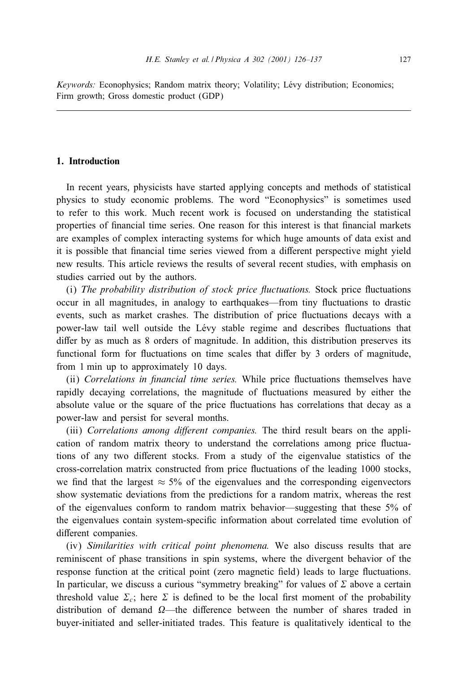*Keywords:* Econophysics; Random matrix theory; Volatility; Lévy distribution; Economics; Firm growth; Gross domestic product (GDP)

## **1. Introduction**

In recent years, physicists have started applying concepts and methods of statistical physics to study economic problems. The word "Econophysics" is sometimes used to refer to this work. Much recent work is focused on understanding the statistical properties of financial time series. One reason for this interest is that financial markets are examples of complex interacting systems for which huge amounts of data exist and it is possible that financial time series viewed from a different perspective might yield new results. This article reviews the results of several recent studies, with emphasis on studies carried out by the authors.

(i) *The probability distribution of stock price 6uctuations.* Stock price "uctuations occur in all magnitudes, in analogy to earthquakes—from tiny fluctuations to drastic events, such as market crashes. The distribution of price fluctuations decays with a power-law tail well outside the Lévy stable regime and describes fluctuations that differ by as much as  $8$  orders of magnitude. In addition, this distribution preserves its functional form for fluctuations on time scales that differ by 3 orders of magnitude, from 1 min up to approximately 10 days.

(ii) *Correlations in financial time series*. While price fluctuations themselves have rapidly decaying correlations, the magnitude of fluctuations measured by either the absolute value or the square of the price fluctuations has correlations that decay as a power-law and persist for several months.

(iii) Correlations among different companies. The third result bears on the application of random matrix theory to understand the correlations among price fluctuations of any two different stocks. From a study of the eigenvalue statistics of the cross-correlation matrix constructed from price fluctuations of the leading 1000 stocks, we find that the largest  $\approx$  5% of the eigenvalues and the corresponding eigenvectors show systematic deviations from the predictions for a random matrix, whereas the rest ofthe eigenvalues conform to random matrix behavior—suggesting that these 5% of the eigenvalues contain system-specific information about correlated time evolution of different companies.

(iv) *Similarities with critical point phenomena.* We also discuss results that are reminiscent of phase transitions in spin systems, where the divergent behavior of the response function at the critical point (zero magnetic field) leads to large fluctuations. In particular, we discuss a curious "symmetry breaking" for values of  $\Sigma$  above a certain threshold value  $\Sigma_c$ ; here  $\Sigma$  is defined to be the local first moment of the probability distribution of demand  $\Omega$ —the difference between the number of shares traded in buyer-initiated and seller-initiated trades. This feature is qualitatively identical to the